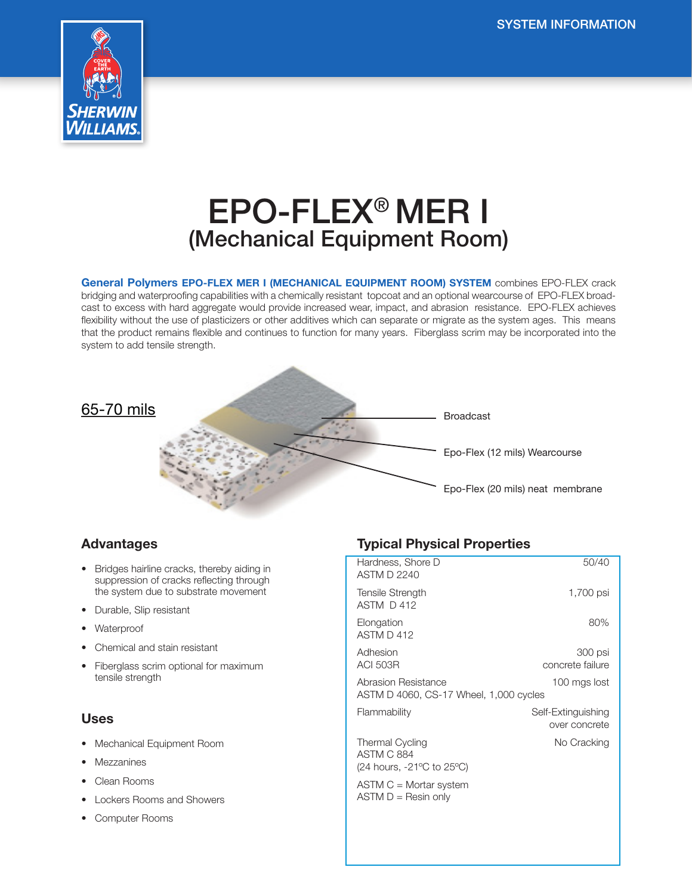

# EPO-FLEX® MER I (Mechanical Equipment Room)

General Polymers EPO-FLEX MER I (MECHANICAL EQUIPMENT ROOM) SYSTEM combines EPO-FLEX crack bridging and waterproofing capabilities with a chemically resistant topcoat and an optional wearcourse of EPO-FLEX broadcast to excess with hard aggregate would provide increased wear, impact, and abrasion resistance. EPO-FLEX achieves flexibility without the use of plasticizers or other additives which can separate or migrate as the system ages. This means that the product remains flexible and continues to function for many years. Fiberglass scrim may be incorporated into the system to add tensile strength.



# Advantages

- Bridges hairline cracks, thereby aiding in suppression of cracks reflecting through the system due to substrate movement
- Durable, Slip resistant
- **Waterproof**
- Chemical and stain resistant
- Fiberglass scrim optional for maximum tensile strength

#### Uses

- Mechanical Equipment Room
- Mezzanines
- Clean Rooms
- Lockers Rooms and Showers
- Computer Rooms

# Typical Physical Properties

| Hardness, Shore D<br>ASTM D 2240                                                              | 50/40                               |
|-----------------------------------------------------------------------------------------------|-------------------------------------|
| Tensile Strength<br>ASTM D 412                                                                | 1,700 psi                           |
| Elongation<br>ASTM D 412                                                                      | 80%                                 |
| Adhesion<br><b>ACI 503R</b>                                                                   | 300 psi<br>concrete failure         |
| Abrasion Resistance<br>ASTM D 4060, CS-17 Wheel, 1,000 cycles                                 | 100 mgs lost                        |
| Flammability                                                                                  | Self-Extinguishing<br>over concrete |
| <b>Thermal Cycling</b><br><b>ASTM C 884</b><br>(24 hours, $-21^{\circ}$ C to 25 $^{\circ}$ C) | No Cracking                         |
| $ASTM C = Mortar system$<br>$ASTM D = Resin only$                                             |                                     |
|                                                                                               |                                     |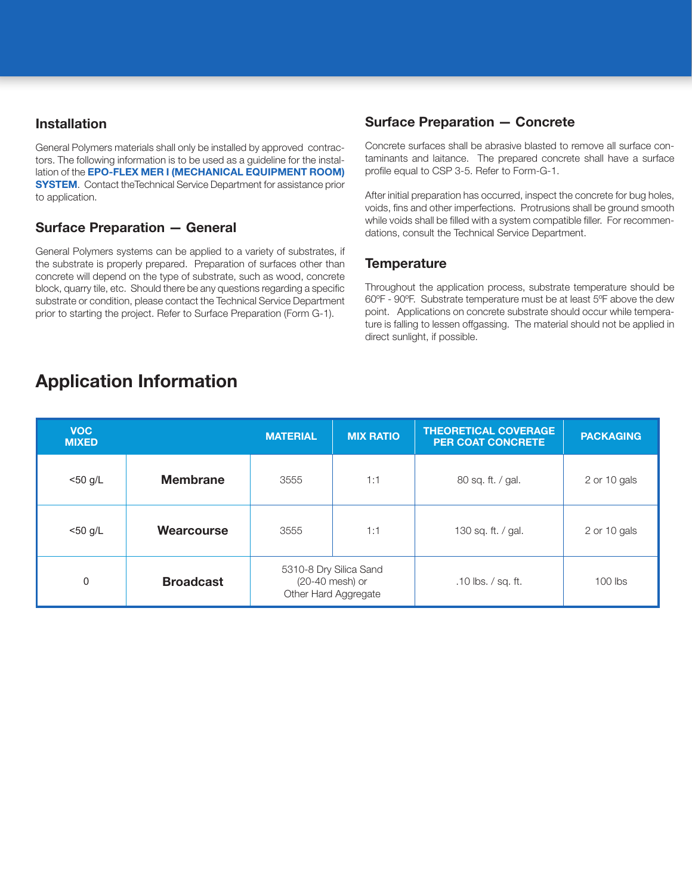#### Installation

General Polymers materials shall only be installed by approved contractors. The following information is to be used as a guideline for the installation of the **EPO-FLEX MER I (MECHANICAL EQUIPMENT ROOM) SYSTEM.** Contact the Technical Service Department for assistance prior to application.

## Surface Preparation — General

General Polymers systems can be applied to a variety of substrates, if the substrate is properly prepared. Preparation of surfaces other than concrete will depend on the type of substrate, such as wood, concrete block, quarry tile, etc. Should there be any questions regarding a specific substrate or condition, please contact the Technical Service Department prior to starting the project. Refer to Surface Preparation (Form G-1).

## Surface Preparation — Concrete

Concrete surfaces shall be abrasive blasted to remove all surface contaminants and laitance. The prepared concrete shall have a surface profile equal to CSP 3-5. Refer to Form-G-1.

After initial preparation has occurred, inspect the concrete for bug holes, voids, fins and other imperfections. Protrusions shall be ground smooth while voids shall be filled with a system compatible filler. For recommendations, consult the Technical Service Department.

#### **Temperature**

Throughout the application process, substrate temperature should be 60ºF - 90ºF. Substrate temperature must be at least 5ºF above the dew point. Applications on concrete substrate should occur while temperature is falling to lessen offgassing. The material should not be applied in direct sunlight, if possible.

| <b>VOC</b><br><b>MIXED</b> |                  | <b>MATERIAL</b>                                                   | <b>MIX RATIO</b> | <b>THEORETICAL COVERAGE</b><br><b>PER COAT CONCRETE</b> | <b>PACKAGING</b> |
|----------------------------|------------------|-------------------------------------------------------------------|------------------|---------------------------------------------------------|------------------|
| $<$ 50 g/L                 | <b>Membrane</b>  | 3555                                                              | 1:1              | 80 sq. ft. / gal.                                       | 2 or 10 gals     |
| $<$ 50 g/L                 | Wearcourse       | 3555                                                              | 1:1              | 130 sq. ft. / gal.                                      | 2 or 10 gals     |
| $\mathbf{0}$               | <b>Broadcast</b> | 5310-8 Dry Silica Sand<br>(20-40 mesh) or<br>Other Hard Aggregate |                  | .10 lbs. / sq. ft.                                      | $100$ lbs        |

# Application Information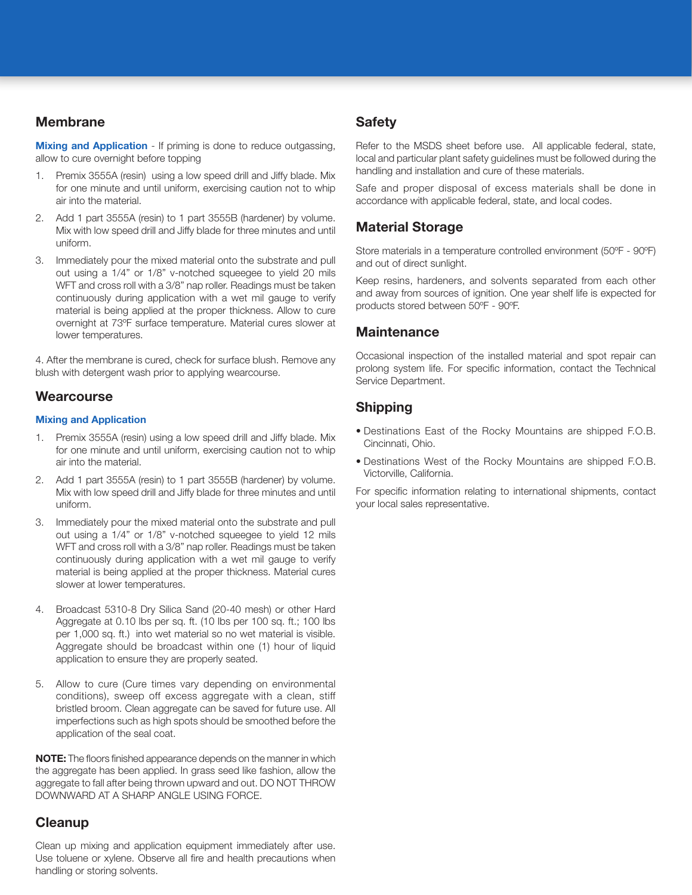#### Membrane

**Mixing and Application** - If priming is done to reduce outgassing, allow to cure overnight before topping

- 1. Premix 3555A (resin) using a low speed drill and Jiffy blade. Mix for one minute and until uniform, exercising caution not to whip air into the material.
- 2. Add 1 part 3555A (resin) to 1 part 3555B (hardener) by volume. Mix with low speed drill and Jiffy blade for three minutes and until uniform.
- 3. Immediately pour the mixed material onto the substrate and pull out using a 1/4" or 1/8" v-notched squeegee to yield 20 mils WFT and cross roll with a 3/8" nap roller. Readings must be taken continuously during application with a wet mil gauge to verify material is being applied at the proper thickness. Allow to cure overnight at 73ºF surface temperature. Material cures slower at lower temperatures.

4. After the membrane is cured, check for surface blush. Remove any blush with detergent wash prior to applying wearcourse.

#### **Wearcourse**

#### Mixing and Application

- 1. Premix 3555A (resin) using a low speed drill and Jiffy blade. Mix for one minute and until uniform, exercising caution not to whip air into the material.
- 2. Add 1 part 3555A (resin) to 1 part 3555B (hardener) by volume. Mix with low speed drill and Jiffy blade for three minutes and until uniform.
- 3. Immediately pour the mixed material onto the substrate and pull out using a 1/4" or 1/8" v-notched squeegee to yield 12 mils WFT and cross roll with a 3/8" nap roller. Readings must be taken continuously during application with a wet mil gauge to verify material is being applied at the proper thickness. Material cures slower at lower temperatures.
- 4. Broadcast 5310-8 Dry Silica Sand (20-40 mesh) or other Hard Aggregate at 0.10 lbs per sq. ft. (10 lbs per 100 sq. ft.; 100 lbs per 1,000 sq. ft.) into wet material so no wet material is visible. Aggregate should be broadcast within one (1) hour of liquid application to ensure they are properly seated.
- 5. Allow to cure (Cure times vary depending on environmental conditions), sweep off excess aggregate with a clean, stiff bristled broom. Clean aggregate can be saved for future use. All imperfections such as high spots should be smoothed before the application of the seal coat.

NOTE: The floors finished appearance depends on the manner in which the aggregate has been applied. In grass seed like fashion, allow the aggregate to fall after being thrown upward and out. DO NOT THROW DOWNWARD AT A SHARP ANGLE USING FORCE.

# **Cleanup**

Clean up mixing and application equipment immediately after use. Use toluene or xylene. Observe all fire and health precautions when handling or storing solvents.

#### Safety

Refer to the MSDS sheet before use. All applicable federal, state, local and particular plant safety guidelines must be followed during the handling and installation and cure of these materials.

Safe and proper disposal of excess materials shall be done in accordance with applicable federal, state, and local codes.

#### Material Storage

Store materials in a temperature controlled environment (50ºF - 90ºF) and out of direct sunlight.

Keep resins, hardeners, and solvents separated from each other and away from sources of ignition. One year shelf life is expected for products stored between 50ºF - 90ºF.

#### **Maintenance**

Occasional inspection of the installed material and spot repair can prolong system life. For specific information, contact the Technical Service Department.

#### Shipping

- Destinations East of the Rocky Mountains are shipped F.O.B. Cincinnati, Ohio.
- Destinations West of the Rocky Mountains are shipped F.O.B. Victorville, California.

For specific information relating to international shipments, contact your local sales representative.